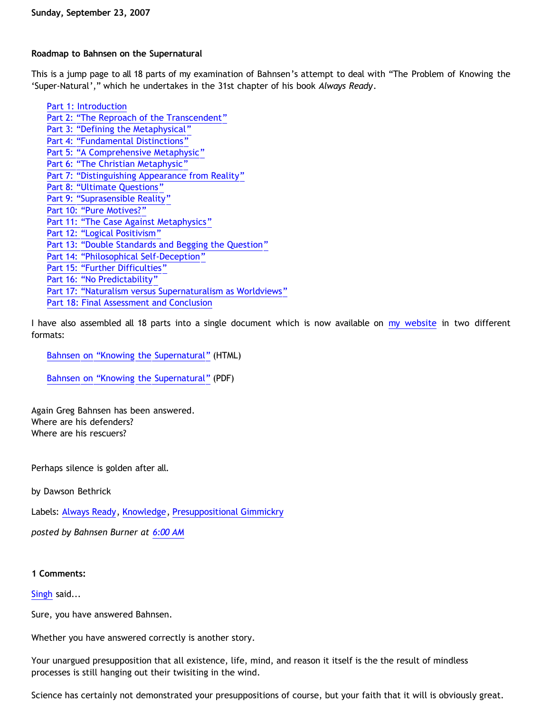## **Roadmap to Bahnsen on the Supernatural**

This is a jump page to all 18 parts of my examination of Bahnsen's attempt to deal with "The Problem of Knowing the 'Super-Natural'," which he undertakes in the 31st chapter of his book *Always Ready*.

[Part 1: Introduction](http://bahnsenburner.blogspot.com/2007/08/bahnsen-on-knowing-supernatural-part-1.html) [Part 2: "The Reproach of the Transcendent"](http://bahnsenburner.blogspot.com/2007/08/bahnsen-on-knowing-supernatural-part-2.html) [Part 3: "Defining the Metaphysical"](http://bahnsenburner.blogspot.com/2007/08/bahnsen-on-knowing-supernatural-part-3.html) [Part 4: "Fundamental Distinctions"](http://bahnsenburner.blogspot.com/2007/08/bahnsen-on-knowing-supernatural-part-4.html) [Part 5: "A Comprehensive Metaphysic"](http://bahnsenburner.blogspot.com/2007/08/bahnsen-on-knowing-supernatural-part-5.html) [Part 6: "The Christian Metaphysic"](http://bahnsenburner.blogspot.com/2007/08/bahnsen-on-knowing-supernatural-part-6.html) [Part 7: "Distinguishing Appearance from Reality"](http://bahnsenburner.blogspot.com/2007/08/bahnsen-on-knowing-supernatural-part-7.html) [Part 8: "Ultimate Questions"](http://bahnsenburner.blogspot.com/2007/08/bahnsen-on-knowing-supernatural-part-8.html) [Part 9: "Suprasensible Reality"](http://bahnsenburner.blogspot.com/2007/08/bahnsen-on-knowing-supernatural-part-9.html) [Part 10: "Pure Motives?"](http://bahnsenburner.blogspot.com/2007/08/bahnsen-on-knowing-supernatural-part-10.html) [Part 11: "The Case Against Metaphysics"](http://bahnsenburner.blogspot.com/2007/09/bahnsen-on-knowing-supernatural-part-11.html) [Part 12: "Logical Positivism"](http://bahnsenburner.blogspot.com/2007/09/bahnsen-on-knowing-supernatural-part-12.html) [Part 13: "Double Standards and Begging the Question"](http://bahnsenburner.blogspot.com/2007/09/bahnsen-on-knowing-supernatural-part-13.html) [Part 14: "Philosophical Self-Deception"](http://bahnsenburner.blogspot.com/2007/09/bahnsen-on-knowing-supernatural-part-14.html) [Part 15: "Further Difficulties"](http://bahnsenburner.blogspot.com/2007/09/bahnsen-on-knowing-supernatural-part-15.html) [Part 16: "No Predictability"](http://bahnsenburner.blogspot.com/2007/09/bahnsen-on-knowing-supernatural-part-16.html) [Part 17: "Naturalism versus Supernaturalism as Worldviews"](http://bahnsenburner.blogspot.com/2007/09/bahnsen-on-knowing-supernatural-part-17.html) [Part 18: Final Assessment and Conclusion](http://bahnsenburner.blogspot.com/2007/09/bahnsen-on-knowing-supernatural-part-18.html)

I have also assembled all 18 parts into a single document which is now available on [my website](http://www.geocities.com/katholon/index.htm) in two different formats:

[Bahnsen on](http://www.geocities.com/katholon/Bahnsen_Supernatural.htm) ["Knowing the Supernatural"](http://www.geocities.com/katholon/Bahnsen_Supernatural.htm) (HTML)

[Bahnsen on](http://www.geocities.com/katholon/Bahnsen_on_Knowing_the_Supernatural.pdf) ["Knowing the Supernatural"](http://www.geocities.com/katholon/Bahnsen_on_Knowing_the_Supernatural.pdf) (PDF)

Again Greg Bahnsen has been answered. Where are his defenders? Where are his rescuers?

Perhaps silence is golden after all.

by Dawson Bethrick

Labels: [Always Ready,](http://bahnsenburner.blogspot.com/search/label/Always%20Ready) [Knowledge](http://bahnsenburner.blogspot.com/search/label/Knowledge), [Presuppositional Gimmickry](http://bahnsenburner.blogspot.com/search/label/Presuppositional%20Gimmickry)

*posted by Bahnsen Burner at [6:00 AM](http://bahnsenburner.blogspot.com/2007/09/roadmap-to-bahnsen-on-supernatural.html)*

## **1 Comments:**

## [Singh](http://www.blogger.com/profile/04571738916693251061) said...

Sure, you have answered Bahnsen.

Whether you have answered correctly is another story.

Your unargued presupposition that all existence, life, mind, and reason it itself is the the result of mindless processes is still hanging out their twisiting in the wind.

Science has certainly not demonstrated your presuppositions of course, but your faith that it will is obviously great.